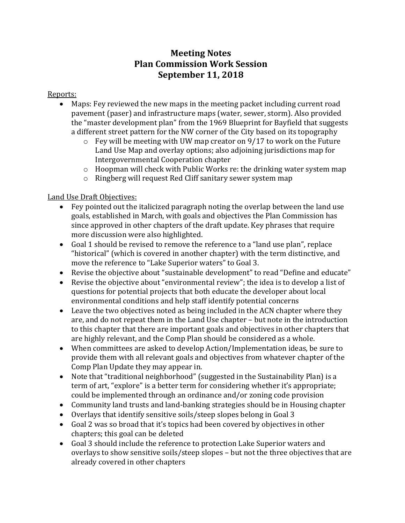## **Meeting Notes Plan Commission Work Session September 11, 2018**

## Reports:

- Maps: Fey reviewed the new maps in the meeting packet including current road pavement (paser) and infrastructure maps (water, sewer, storm). Also provided the "master development plan" from the 1969 Blueprint for Bayfield that suggests a different street pattern for the NW corner of the City based on its topography
	- $\circ$  Fey will be meeting with UW map creator on 9/17 to work on the Future Land Use Map and overlay options; also adjoining jurisdictions map for Intergovernmental Cooperation chapter
	- o Hoopman will check with Public Works re: the drinking water system map
	- o Ringberg will request Red Cliff sanitary sewer system map

## Land Use Draft Objectives:

- Fey pointed out the italicized paragraph noting the overlap between the land use goals, established in March, with goals and objectives the Plan Commission has since approved in other chapters of the draft update. Key phrases that require more discussion were also highlighted.
- Goal 1 should be revised to remove the reference to a "land use plan", replace "historical" (which is covered in another chapter) with the term distinctive, and move the reference to "Lake Superior waters" to Goal 3.
- Revise the objective about "sustainable development" to read "Define and educate"
- Revise the objective about "environmental review"; the idea is to develop a list of questions for potential projects that both educate the developer about local environmental conditions and help staff identify potential concerns
- Leave the two objectives noted as being included in the ACN chapter where they are, and do not repeat them in the Land Use chapter – but note in the introduction to this chapter that there are important goals and objectives in other chapters that are highly relevant, and the Comp Plan should be considered as a whole.
- When committees are asked to develop Action/Implementation ideas, be sure to provide them with all relevant goals and objectives from whatever chapter of the Comp Plan Update they may appear in.
- Note that "traditional neighborhood" (suggested in the Sustainability Plan) is a term of art, "explore" is a better term for considering whether it's appropriate; could be implemented through an ordinance and/or zoning code provision
- Community land trusts and land-banking strategies should be in Housing chapter
- Overlays that identify sensitive soils/steep slopes belong in Goal 3
- Goal 2 was so broad that it's topics had been covered by objectives in other chapters; this goal can be deleted
- Goal 3 should include the reference to protection Lake Superior waters and overlays to show sensitive soils/steep slopes – but not the three objectives that are already covered in other chapters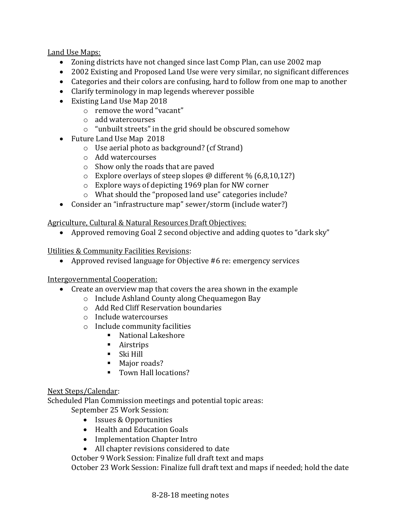Land Use Maps:

- Zoning districts have not changed since last Comp Plan, can use 2002 map
- 2002 Existing and Proposed Land Use were very similar, no significant differences
- Categories and their colors are confusing, hard to follow from one map to another
- Clarify terminology in map legends wherever possible
- Existing Land Use Map 2018
	- o remove the word "vacant"
	- o add watercourses
	- o "unbuilt streets" in the grid should be obscured somehow
- Future Land Use Map 2018
	- o Use aerial photo as background? (cf Strand)
	- o Add watercourses
	- o Show only the roads that are paved
	- $\circ$  Explore overlays of steep slopes @ different % (6,8,10,12?)
	- o Explore ways of depicting 1969 plan for NW corner
	- o What should the "proposed land use" categories include?
- Consider an "infrastructure map" sewer/storm (include water?)

Agriculture, Cultural & Natural Resources Draft Objectives:

• Approved removing Goal 2 second objective and adding quotes to "dark sky"

Utilities & Community Facilities Revisions:

• Approved revised language for Objective #6 re: emergency services

Intergovernmental Cooperation:

- Create an overview map that covers the area shown in the example
	- o Include Ashland County along Chequamegon Bay
	- o Add Red Cliff Reservation boundaries
	- o Include watercourses
	- o Include community facilities
		- National Lakeshore
		- Airstrips
		- $\blacksquare$  Ski Hill
		- Major roads?
		- Town Hall locations?

## Next Steps/Calendar:

Scheduled Plan Commission meetings and potential topic areas:

September 25 Work Session:

- Issues & Opportunities
- Health and Education Goals
- Implementation Chapter Intro
- All chapter revisions considered to date

October 9 Work Session: Finalize full draft text and maps

October 23 Work Session: Finalize full draft text and maps if needed; hold the date